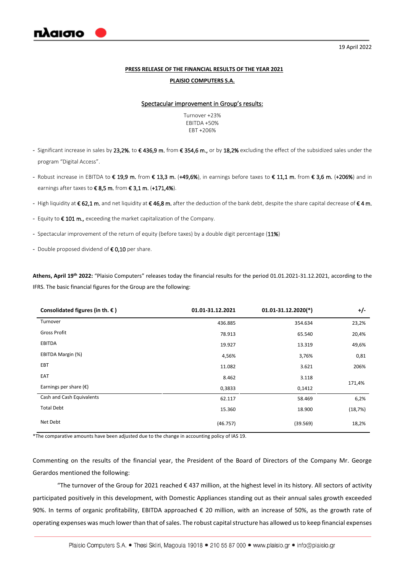

## **PRESS RELEASE OF THE FINANCIAL RESULTS OF THE YEAR 2021**

#### **PLAISIO COMPUTERS S.A.**

#### Spectacular improvement in Group's results:

Turnover +23% EBITDA +50% EBT +206%

- Significant increase in sales by 23,2%, to €436,9 m. from €354,6 m., or by 18,2% excluding the effect of the subsidized sales under the program "Digital Access".
- Robust increase in EBITDA to € 19,9 m. from € 13,3 m. (+49,6%), in earnings before taxes to € 11,1 m. from € 3,6 m. (+206%) and in earnings after taxes to €8,5 m. from €3,1 m. (+171,4%).
- High liquidity at € 62,1 m. and net liquidity at € 46,8 m. after the deduction of the bank debt, despite the share capital decrease of € 4 m.
- Equity to € 101 m., exceeding the market capitalization of the Company.
- Spectacular improvement of the return of equity (before taxes) by a double digit percentage (11%)
- Double proposed dividend of € 0,10 per share.

**Athens, April 19th 2022:** "Plaisio Computers" releases today the financial results for the period 01.01.2021-31.12.2021, according to the IFRS. The basic financial figures for the Group are the following:

| Consolidated figures (in th. $\epsilon$ ) | 01.01-31.12.2021 | $01.01 - 31.12.2020(*)$ | $+/-$   |
|-------------------------------------------|------------------|-------------------------|---------|
| Turnover                                  | 436.885          | 354.634                 | 23,2%   |
| <b>Gross Profit</b>                       | 78.913           | 65.540                  | 20,4%   |
| <b>EBITDA</b>                             | 19.927           | 13.319                  | 49,6%   |
| EBITDA Margin (%)                         | 4,56%            | 3,76%                   | 0,81    |
| EBT                                       | 11.082           | 3.621                   | 206%    |
| EAT                                       | 8.462            | 3.118                   |         |
| Earnings per share $(\epsilon)$           | 0,3833           | 0,1412                  | 171,4%  |
| Cash and Cash Equivalents                 | 62.117           | 58.469                  | 6,2%    |
| <b>Total Debt</b>                         | 15.360           | 18.900                  | (18,7%) |
| Net Debt                                  | (46.757)         | (39.569)                | 18,2%   |

\*The comparative amounts have been adjusted due to the change in accounting policy of IAS 19.

Commenting on the results of the financial year, the President of the Board of Directors of the Company Mr. George Gerardos mentioned the following:

"The turnover of the Group for 2021 reached € 437 million, at the highest level in its history. All sectors of activity participated positively in this development, with Domestic Appliances standing out as their annual sales growth exceeded 90%. In terms of organic profitability, EBITDA approached € 20 million, with an increase of 50%, as the growth rate of operating expenses was much lower than that of sales. The robust capital structure has allowed us to keep financial expenses